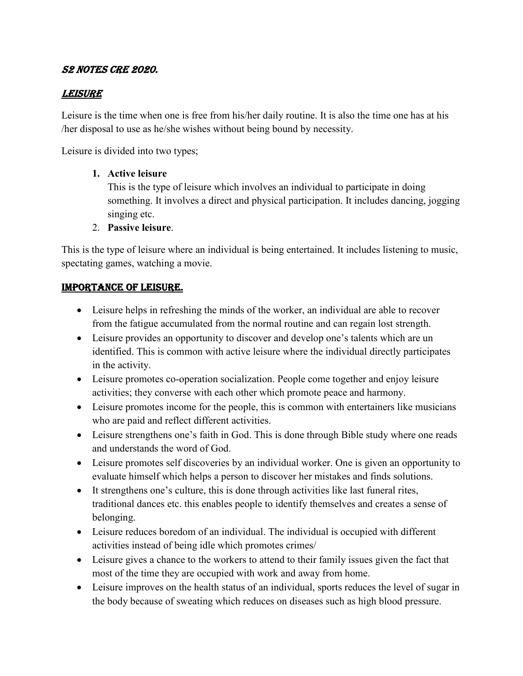### S2 NOTES CRE 2020.

### **LEISURE**

Leisure is the time when one is free from his/her daily routine. It is also the time one has at his /her disposal to use as he/she wishes without being bound by necessity.

Leisure is divided into two types;

#### **1. Active leisure**

This is the type of leisure which involves an individual to participate in doing something. It involves a direct and physical participation. It includes dancing, jogging singing etc.

2. **Passive leisure**.

This is the type of leisure where an individual is being entertained. It includes listening to music, spectating games, watching a movie.

### IMPORTANCE OF LEISURE.

- Leisure helps in refreshing the minds of the worker, an individual are able to recover from the fatigue accumulated from the normal routine and can regain lost strength.
- Leisure provides an opportunity to discover and develop one's talents which are un identified. This is common with active leisure where the individual directly participates in the activity.
- Leisure promotes co-operation socialization. People come together and enjoy leisure activities; they converse with each other which promote peace and harmony.
- Leisure promotes income for the people, this is common with entertainers like musicians who are paid and reflect different activities.
- Leisure strengthens one's faith in God. This is done through Bible study where one reads and understands the word of God.
- Leisure promotes self discoveries by an individual worker. One is given an opportunity to evaluate himself which helps a person to discover her mistakes and finds solutions.
- It strengthens one's culture, this is done through activities like last funeral rites, traditional dances etc. this enables people to identify themselves and creates a sense of belonging.
- Leisure reduces boredom of an individual. The individual is occupied with different activities instead of being idle which promotes crimes/
- Leisure gives a chance to the workers to attend to their family issues given the fact that most of the time they are occupied with work and away from home.
- Leisure improves on the health status of an individual, sports reduces the level of sugar in the body because of sweating which reduces on diseases such as high blood pressure.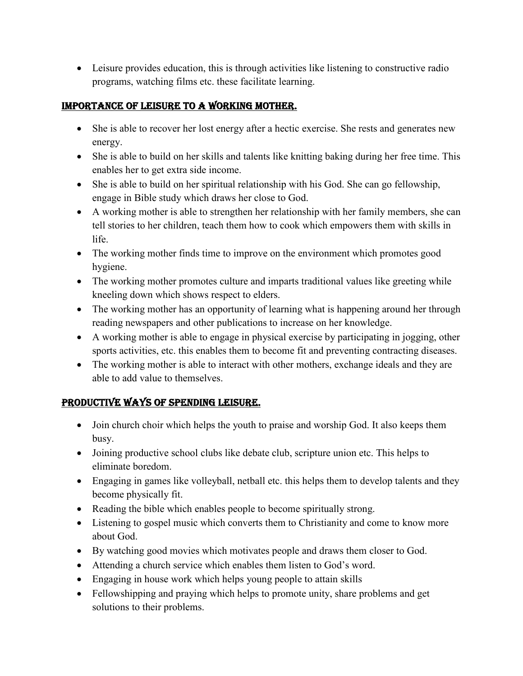Leisure provides education, this is through activities like listening to constructive radio programs, watching films etc. these facilitate learning.

### IMPORTANCE OF LEISURE TO A WORKING MOTHER.

- She is able to recover her lost energy after a hectic exercise. She rests and generates new energy.
- She is able to build on her skills and talents like knitting baking during her free time. This enables her to get extra side income.
- She is able to build on her spiritual relationship with his God. She can go fellowship, engage in Bible study which draws her close to God.
- A working mother is able to strengthen her relationship with her family members, she can tell stories to her children, teach them how to cook which empowers them with skills in life.
- The working mother finds time to improve on the environment which promotes good hygiene.
- The working mother promotes culture and imparts traditional values like greeting while kneeling down which shows respect to elders.
- The working mother has an opportunity of learning what is happening around her through reading newspapers and other publications to increase on her knowledge.
- A working mother is able to engage in physical exercise by participating in jogging, other sports activities, etc. this enables them to become fit and preventing contracting diseases.
- The working mother is able to interact with other mothers, exchange ideals and they are able to add value to themselves.

# PRODUCTIVE WAYS OF SPENDING LEISURE.

- Join church choir which helps the youth to praise and worship God. It also keeps them busy.
- Joining productive school clubs like debate club, scripture union etc. This helps to eliminate boredom.
- Engaging in games like volleyball, netball etc. this helps them to develop talents and they become physically fit.
- Reading the bible which enables people to become spiritually strong.
- Listening to gospel music which converts them to Christianity and come to know more about God.
- By watching good movies which motivates people and draws them closer to God.
- Attending a church service which enables them listen to God's word.
- Engaging in house work which helps young people to attain skills
- Fellowshipping and praying which helps to promote unity, share problems and get solutions to their problems.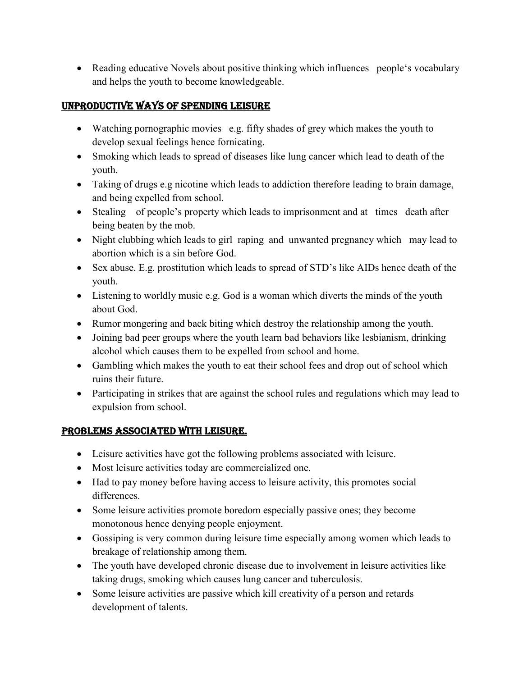• Reading educative Novels about positive thinking which influences people's vocabulary and helps the youth to become knowledgeable.

# UNPRODUCTIVE WAYS OF SPENDING LEISURE

- Watching pornographic movies e.g. fifty shades of grey which makes the youth to develop sexual feelings hence fornicating.
- Smoking which leads to spread of diseases like lung cancer which lead to death of the youth.
- Taking of drugs e.g nicotine which leads to addiction therefore leading to brain damage, and being expelled from school.
- Stealing of people's property which leads to imprisonment and at times death after being beaten by the mob.
- Night clubbing which leads to girl raping and unwanted pregnancy which may lead to abortion which is a sin before God.
- Sex abuse. E.g. prostitution which leads to spread of STD's like AIDs hence death of the youth.
- Listening to worldly music e.g. God is a woman which diverts the minds of the youth about God.
- Rumor mongering and back biting which destroy the relationship among the youth.
- Joining bad peer groups where the youth learn bad behaviors like lesbianism, drinking alcohol which causes them to be expelled from school and home.
- Gambling which makes the youth to eat their school fees and drop out of school which ruins their future.
- Participating in strikes that are against the school rules and regulations which may lead to expulsion from school.

# PROBLEMS ASSOCIATED WITH LEISURE.

- Leisure activities have got the following problems associated with leisure.
- Most leisure activities today are commercialized one.
- Had to pay money before having access to leisure activity, this promotes social differences.
- Some leisure activities promote boredom especially passive ones; they become monotonous hence denying people enjoyment.
- Gossiping is very common during leisure time especially among women which leads to breakage of relationship among them.
- The youth have developed chronic disease due to involvement in leisure activities like taking drugs, smoking which causes lung cancer and tuberculosis.
- Some leisure activities are passive which kill creativity of a person and retards development of talents.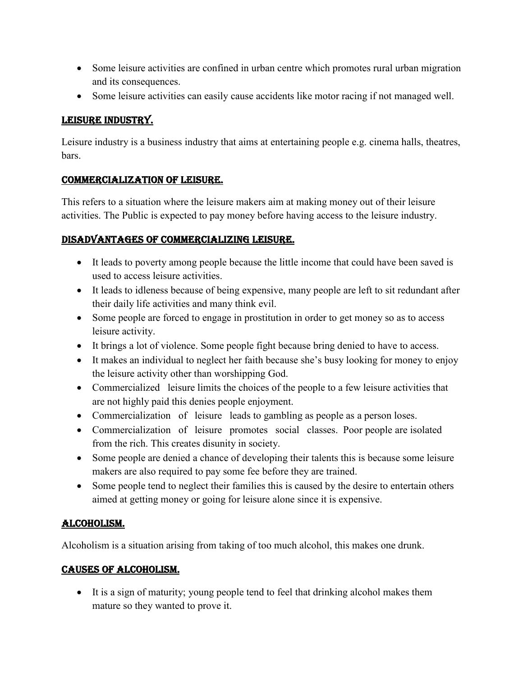- Some leisure activities are confined in urban centre which promotes rural urban migration and its consequences.
- Some leisure activities can easily cause accidents like motor racing if not managed well.

### LEISURE INDUSTRY.

Leisure industry is a business industry that aims at entertaining people e.g. cinema halls, theatres, bars.

### COMMERCIALIZATION OF LEISURE.

This refers to a situation where the leisure makers aim at making money out of their leisure activities. The Public is expected to pay money before having access to the leisure industry.

### DISADVANTAGES OF COMMERCIALIZING LEISURE.

- It leads to poverty among people because the little income that could have been saved is used to access leisure activities.
- It leads to idleness because of being expensive, many people are left to sit redundant after their daily life activities and many think evil.
- Some people are forced to engage in prostitution in order to get money so as to access leisure activity.
- It brings a lot of violence. Some people fight because bring denied to have to access.
- It makes an individual to neglect her faith because she's busy looking for money to enjoy the leisure activity other than worshipping God.
- Commercialized leisure limits the choices of the people to a few leisure activities that are not highly paid this denies people enjoyment.
- Commercialization of leisure leads to gambling as people as a person loses.
- Commercialization of leisure promotes social classes. Poor people are isolated from the rich. This creates disunity in society.
- Some people are denied a chance of developing their talents this is because some leisure makers are also required to pay some fee before they are trained.
- Some people tend to neglect their families this is caused by the desire to entertain others aimed at getting money or going for leisure alone since it is expensive.

# ALCOHOLISM.

Alcoholism is a situation arising from taking of too much alcohol, this makes one drunk.

### CAUSES OF ALCOHOLISM.

 It is a sign of maturity; young people tend to feel that drinking alcohol makes them mature so they wanted to prove it.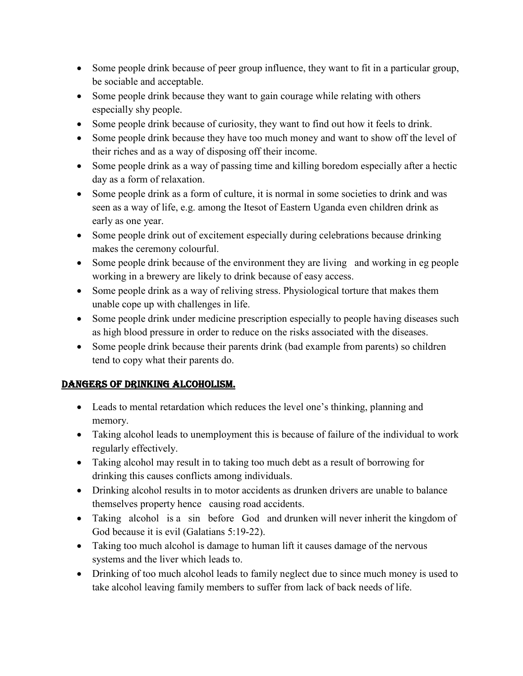- Some people drink because of peer group influence, they want to fit in a particular group, be sociable and acceptable.
- Some people drink because they want to gain courage while relating with others especially shy people.
- Some people drink because of curiosity, they want to find out how it feels to drink.
- Some people drink because they have too much money and want to show off the level of their riches and as a way of disposing off their income.
- Some people drink as a way of passing time and killing boredom especially after a hectic day as a form of relaxation.
- Some people drink as a form of culture, it is normal in some societies to drink and was seen as a way of life, e.g. among the Itesot of Eastern Uganda even children drink as early as one year.
- Some people drink out of excitement especially during celebrations because drinking makes the ceremony colourful.
- Some people drink because of the environment they are living and working in eg people working in a brewery are likely to drink because of easy access.
- Some people drink as a way of reliving stress. Physiological torture that makes them unable cope up with challenges in life.
- Some people drink under medicine prescription especially to people having diseases such as high blood pressure in order to reduce on the risks associated with the diseases.
- Some people drink because their parents drink (bad example from parents) so children tend to copy what their parents do.

# DANGERS OF DRINKING ALCOHOLISM.

- Leads to mental retardation which reduces the level one's thinking, planning and memory.
- Taking alcohol leads to unemployment this is because of failure of the individual to work regularly effectively.
- Taking alcohol may result in to taking too much debt as a result of borrowing for drinking this causes conflicts among individuals.
- Drinking alcohol results in to motor accidents as drunken drivers are unable to balance themselves property hence causing road accidents.
- Taking alcohol is a sin before God and drunken will never inherit the kingdom of God because it is evil (Galatians 5:19-22).
- Taking too much alcohol is damage to human lift it causes damage of the nervous systems and the liver which leads to.
- Drinking of too much alcohol leads to family neglect due to since much money is used to take alcohol leaving family members to suffer from lack of back needs of life.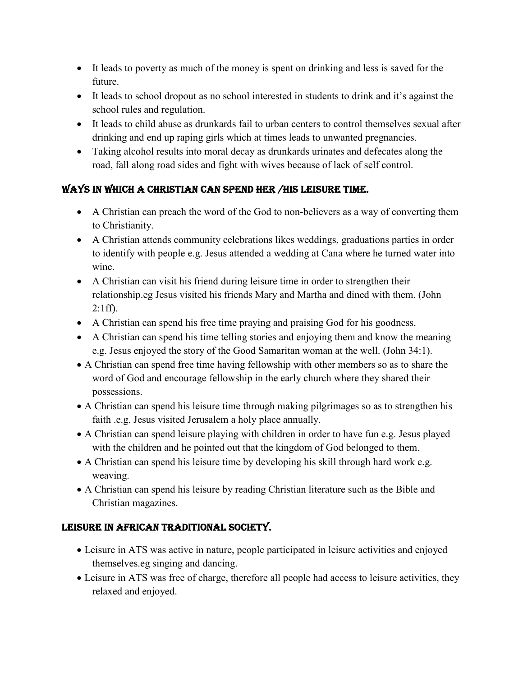- It leads to poverty as much of the money is spent on drinking and less is saved for the future.
- It leads to school dropout as no school interested in students to drink and it's against the school rules and regulation.
- It leads to child abuse as drunkards fail to urban centers to control themselves sexual after drinking and end up raping girls which at times leads to unwanted pregnancies.
- Taking alcohol results into moral decay as drunkards urinates and defecates along the road, fall along road sides and fight with wives because of lack of self control.

# WAYS IN WHICH A CHRISTIAN CAN SPEND HER /HIS LEISURE TIME.

- A Christian can preach the word of the God to non-believers as a way of converting them to Christianity.
- A Christian attends community celebrations likes weddings, graduations parties in order to identify with people e.g. Jesus attended a wedding at Cana where he turned water into wine.
- A Christian can visit his friend during leisure time in order to strengthen their relationship.eg Jesus visited his friends Mary and Martha and dined with them. (John  $2:1ff$ ).
- A Christian can spend his free time praying and praising God for his goodness.
- A Christian can spend his time telling stories and enjoying them and know the meaning e.g. Jesus enjoyed the story of the Good Samaritan woman at the well. (John 34:1).
- A Christian can spend free time having fellowship with other members so as to share the word of God and encourage fellowship in the early church where they shared their possessions.
- A Christian can spend his leisure time through making pilgrimages so as to strengthen his faith .e.g. Jesus visited Jerusalem a holy place annually.
- A Christian can spend leisure playing with children in order to have fun e.g. Jesus played with the children and he pointed out that the kingdom of God belonged to them.
- A Christian can spend his leisure time by developing his skill through hard work e.g. weaving.
- A Christian can spend his leisure by reading Christian literature such as the Bible and Christian magazines.

# LEISURE IN AFRICAN TRADITIONAL SOCIETY.

- Leisure in ATS was active in nature, people participated in leisure activities and enjoyed themselves.eg singing and dancing.
- Leisure in ATS was free of charge, therefore all people had access to leisure activities, they relaxed and enjoyed.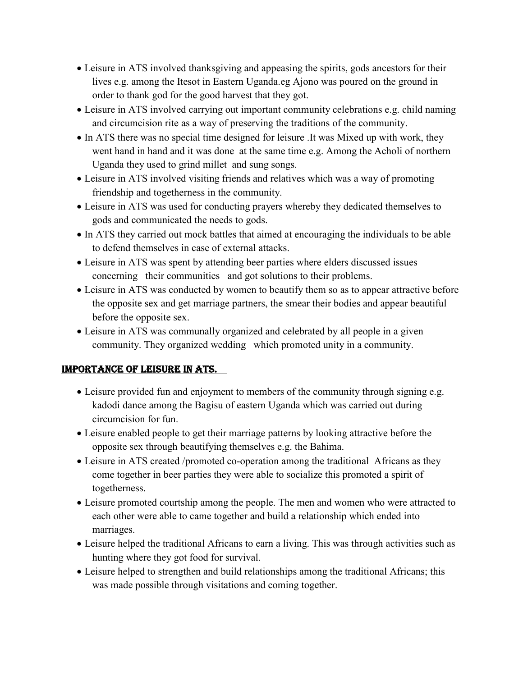- Leisure in ATS involved thanksgiving and appeasing the spirits, gods ancestors for their lives e.g. among the Itesot in Eastern Uganda.eg Ajono was poured on the ground in order to thank god for the good harvest that they got.
- Leisure in ATS involved carrying out important community celebrations e.g. child naming and circumcision rite as a way of preserving the traditions of the community.
- In ATS there was no special time designed for leisure .It was Mixed up with work, they went hand in hand and it was done at the same time e.g. Among the Acholi of northern Uganda they used to grind millet and sung songs.
- Leisure in ATS involved visiting friends and relatives which was a way of promoting friendship and togetherness in the community.
- Leisure in ATS was used for conducting prayers whereby they dedicated themselves to gods and communicated the needs to gods.
- In ATS they carried out mock battles that aimed at encouraging the individuals to be able to defend themselves in case of external attacks.
- Leisure in ATS was spent by attending beer parties where elders discussed issues concerning their communities and got solutions to their problems.
- Leisure in ATS was conducted by women to beautify them so as to appear attractive before the opposite sex and get marriage partners, the smear their bodies and appear beautiful before the opposite sex.
- Leisure in ATS was communally organized and celebrated by all people in a given community. They organized wedding which promoted unity in a community.

### IMPORTANCE OF LEISURE IN ATS.

- Leisure provided fun and enjoyment to members of the community through signing e.g. kadodi dance among the Bagisu of eastern Uganda which was carried out during circumcision for fun.
- Leisure enabled people to get their marriage patterns by looking attractive before the opposite sex through beautifying themselves e.g. the Bahima.
- Leisure in ATS created /promoted co-operation among the traditional Africans as they come together in beer parties they were able to socialize this promoted a spirit of togetherness.
- Leisure promoted courtship among the people. The men and women who were attracted to each other were able to came together and build a relationship which ended into marriages.
- Leisure helped the traditional Africans to earn a living. This was through activities such as hunting where they got food for survival.
- Leisure helped to strengthen and build relationships among the traditional Africans; this was made possible through visitations and coming together.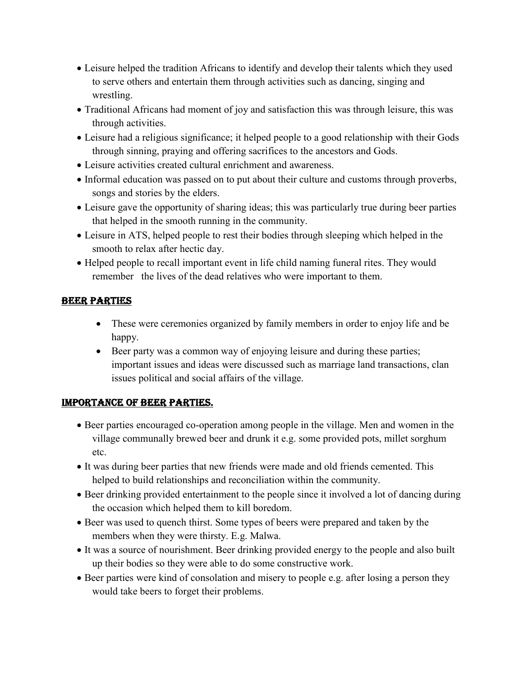- Leisure helped the tradition Africans to identify and develop their talents which they used to serve others and entertain them through activities such as dancing, singing and wrestling.
- Traditional Africans had moment of joy and satisfaction this was through leisure, this was through activities.
- Leisure had a religious significance; it helped people to a good relationship with their Gods through sinning, praying and offering sacrifices to the ancestors and Gods.
- Leisure activities created cultural enrichment and awareness.
- Informal education was passed on to put about their culture and customs through proverbs, songs and stories by the elders.
- Leisure gave the opportunity of sharing ideas; this was particularly true during beer parties that helped in the smooth running in the community.
- Leisure in ATS, helped people to rest their bodies through sleeping which helped in the smooth to relax after hectic day.
- Helped people to recall important event in life child naming funeral rites. They would remember the lives of the dead relatives who were important to them.

# BEER PARTIES

- These were ceremonies organized by family members in order to enjoy life and be happy.
- Beer party was a common way of enjoying leisure and during these parties; important issues and ideas were discussed such as marriage land transactions, clan issues political and social affairs of the village.

### IMPORTANCE OF BEER PARTIES.

- Beer parties encouraged co-operation among people in the village. Men and women in the village communally brewed beer and drunk it e.g. some provided pots, millet sorghum etc.
- It was during beer parties that new friends were made and old friends cemented. This helped to build relationships and reconciliation within the community.
- Beer drinking provided entertainment to the people since it involved a lot of dancing during the occasion which helped them to kill boredom.
- Beer was used to quench thirst. Some types of beers were prepared and taken by the members when they were thirsty. E.g. Malwa.
- It was a source of nourishment. Beer drinking provided energy to the people and also built up their bodies so they were able to do some constructive work.
- Beer parties were kind of consolation and misery to people e.g. after losing a person they would take beers to forget their problems.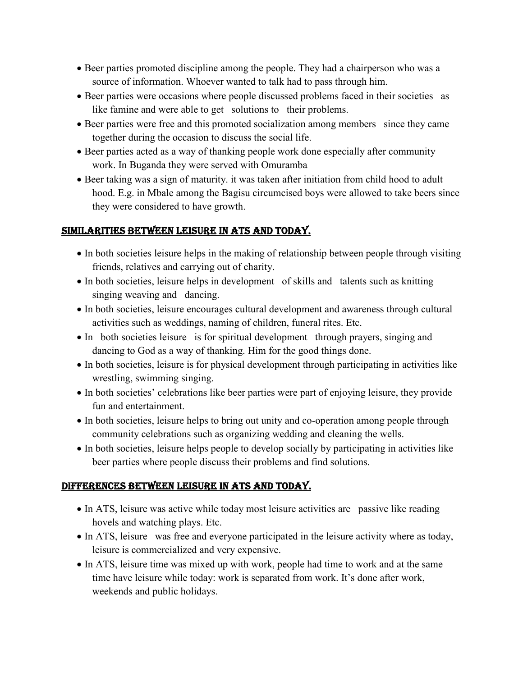- Beer parties promoted discipline among the people. They had a chairperson who was a source of information. Whoever wanted to talk had to pass through him.
- Beer parties were occasions where people discussed problems faced in their societies as like famine and were able to get solutions to their problems.
- Beer parties were free and this promoted socialization among members since they came together during the occasion to discuss the social life.
- Beer parties acted as a way of thanking people work done especially after community work. In Buganda they were served with Omuramba
- Beer taking was a sign of maturity. it was taken after initiation from child hood to adult hood. E.g. in Mbale among the Bagisu circumcised boys were allowed to take beers since they were considered to have growth.

# SIMILARITIES BETWEEN LEISURE IN ATS AND TODAY.

- In both societies leisure helps in the making of relationship between people through visiting friends, relatives and carrying out of charity.
- In both societies, leisure helps in development of skills and talents such as knitting singing weaving and dancing.
- In both societies, leisure encourages cultural development and awareness through cultural activities such as weddings, naming of children, funeral rites. Etc.
- In both societies leisure is for spiritual development through prayers, singing and dancing to God as a way of thanking. Him for the good things done.
- In both societies, leisure is for physical development through participating in activities like wrestling, swimming singing.
- In both societies' celebrations like beer parties were part of enjoying leisure, they provide fun and entertainment.
- In both societies, leisure helps to bring out unity and co-operation among people through community celebrations such as organizing wedding and cleaning the wells.
- In both societies, leisure helps people to develop socially by participating in activities like beer parties where people discuss their problems and find solutions.

# DIFFERENCES BETWEEN LEISURE IN ATS AND TODAY.

- In ATS, leisure was active while today most leisure activities are passive like reading hovels and watching plays. Etc.
- In ATS, leisure was free and everyone participated in the leisure activity where as today, leisure is commercialized and very expensive.
- In ATS, leisure time was mixed up with work, people had time to work and at the same time have leisure while today: work is separated from work. It's done after work, weekends and public holidays.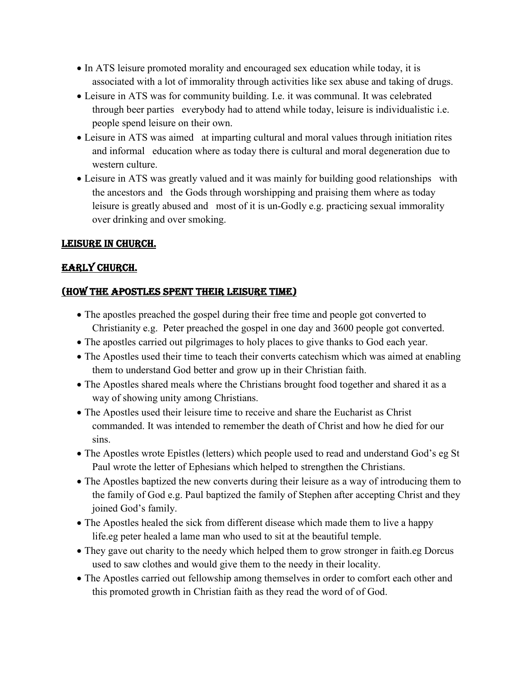- In ATS leisure promoted morality and encouraged sex education while today, it is associated with a lot of immorality through activities like sex abuse and taking of drugs.
- Leisure in ATS was for community building. I.e. it was communal. It was celebrated through beer parties everybody had to attend while today, leisure is individualistic i.e. people spend leisure on their own.
- Leisure in ATS was aimed at imparting cultural and moral values through initiation rites and informal education where as today there is cultural and moral degeneration due to western culture.
- Leisure in ATS was greatly valued and it was mainly for building good relationships with the ancestors and the Gods through worshipping and praising them where as today leisure is greatly abused and most of it is un-Godly e.g. practicing sexual immorality over drinking and over smoking.

### LEISURE IN CHURCH.

### EARLY CHURCH.

### (HOW THE APOSTLES SPENT THEIR LEISURE TIME)

- The apostles preached the gospel during their free time and people got converted to Christianity e.g. Peter preached the gospel in one day and 3600 people got converted.
- The apostles carried out pilgrimages to holy places to give thanks to God each year.
- The Apostles used their time to teach their converts catechism which was aimed at enabling them to understand God better and grow up in their Christian faith.
- The Apostles shared meals where the Christians brought food together and shared it as a way of showing unity among Christians.
- The Apostles used their leisure time to receive and share the Eucharist as Christ commanded. It was intended to remember the death of Christ and how he died for our sins.
- The Apostles wrote Epistles (letters) which people used to read and understand God's eg St Paul wrote the letter of Ephesians which helped to strengthen the Christians.
- The Apostles baptized the new converts during their leisure as a way of introducing them to the family of God e.g. Paul baptized the family of Stephen after accepting Christ and they joined God's family.
- The Apostles healed the sick from different disease which made them to live a happy life.eg peter healed a lame man who used to sit at the beautiful temple.
- They gave out charity to the needy which helped them to grow stronger in faith.eg Dorcus used to saw clothes and would give them to the needy in their locality.
- The Apostles carried out fellowship among themselves in order to comfort each other and this promoted growth in Christian faith as they read the word of of God.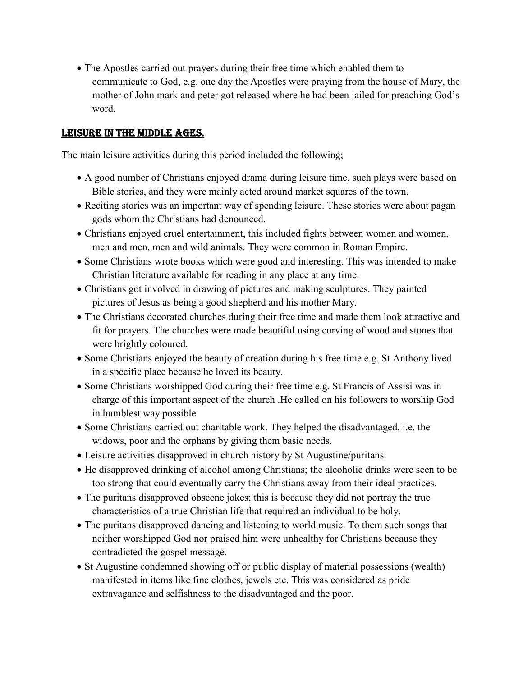The Apostles carried out prayers during their free time which enabled them to communicate to God, e.g. one day the Apostles were praying from the house of Mary, the mother of John mark and peter got released where he had been jailed for preaching God's word.

#### LEISURE IN THE MIDDLE AGES.

The main leisure activities during this period included the following;

- A good number of Christians enjoyed drama during leisure time, such plays were based on Bible stories, and they were mainly acted around market squares of the town.
- Reciting stories was an important way of spending leisure. These stories were about pagan gods whom the Christians had denounced.
- Christians enjoyed cruel entertainment, this included fights between women and women, men and men, men and wild animals. They were common in Roman Empire.
- Some Christians wrote books which were good and interesting. This was intended to make Christian literature available for reading in any place at any time.
- Christians got involved in drawing of pictures and making sculptures. They painted pictures of Jesus as being a good shepherd and his mother Mary.
- The Christians decorated churches during their free time and made them look attractive and fit for prayers. The churches were made beautiful using curving of wood and stones that were brightly coloured.
- Some Christians enjoyed the beauty of creation during his free time e.g. St Anthony lived in a specific place because he loved its beauty.
- Some Christians worshipped God during their free time e.g. St Francis of Assisi was in charge of this important aspect of the church .He called on his followers to worship God in humblest way possible.
- Some Christians carried out charitable work. They helped the disadvantaged, i.e. the widows, poor and the orphans by giving them basic needs.
- Leisure activities disapproved in church history by St Augustine/puritans.
- He disapproved drinking of alcohol among Christians; the alcoholic drinks were seen to be too strong that could eventually carry the Christians away from their ideal practices.
- The puritans disapproved obscene jokes; this is because they did not portray the true characteristics of a true Christian life that required an individual to be holy.
- The puritans disapproved dancing and listening to world music. To them such songs that neither worshipped God nor praised him were unhealthy for Christians because they contradicted the gospel message.
- St Augustine condemned showing off or public display of material possessions (wealth) manifested in items like fine clothes, jewels etc. This was considered as pride extravagance and selfishness to the disadvantaged and the poor.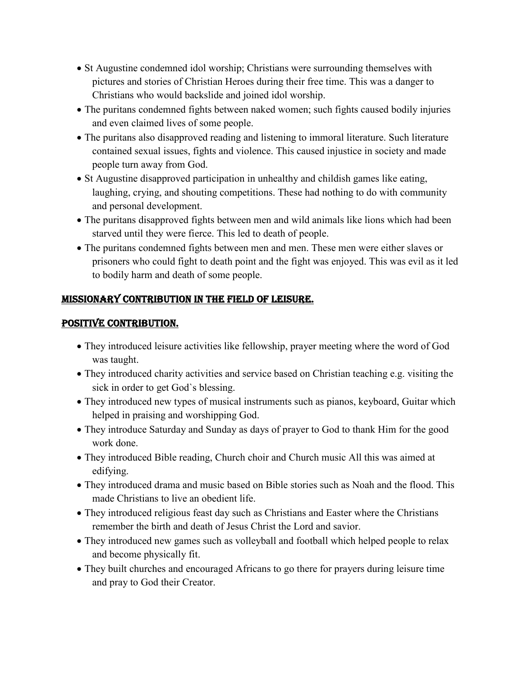- St Augustine condemned idol worship; Christians were surrounding themselves with pictures and stories of Christian Heroes during their free time. This was a danger to Christians who would backslide and joined idol worship.
- The puritans condemned fights between naked women; such fights caused bodily injuries and even claimed lives of some people.
- The puritans also disapproved reading and listening to immoral literature. Such literature contained sexual issues, fights and violence. This caused injustice in society and made people turn away from God.
- St Augustine disapproved participation in unhealthy and childish games like eating, laughing, crying, and shouting competitions. These had nothing to do with community and personal development.
- The puritans disapproved fights between men and wild animals like lions which had been starved until they were fierce. This led to death of people.
- The puritans condemned fights between men and men. These men were either slaves or prisoners who could fight to death point and the fight was enjoyed. This was evil as it led to bodily harm and death of some people.

# MISSIONARY CONTRIBUTION IN THE FIELD OF LEISURE.

### POSITIVE CONTRIBUTION.

- They introduced leisure activities like fellowship, prayer meeting where the word of God was taught.
- They introduced charity activities and service based on Christian teaching e.g. visiting the sick in order to get God`s blessing.
- They introduced new types of musical instruments such as pianos, keyboard, Guitar which helped in praising and worshipping God.
- They introduce Saturday and Sunday as days of prayer to God to thank Him for the good work done.
- They introduced Bible reading, Church choir and Church music All this was aimed at edifying.
- They introduced drama and music based on Bible stories such as Noah and the flood. This made Christians to live an obedient life.
- They introduced religious feast day such as Christians and Easter where the Christians remember the birth and death of Jesus Christ the Lord and savior.
- They introduced new games such as volleyball and football which helped people to relax and become physically fit.
- They built churches and encouraged Africans to go there for prayers during leisure time and pray to God their Creator.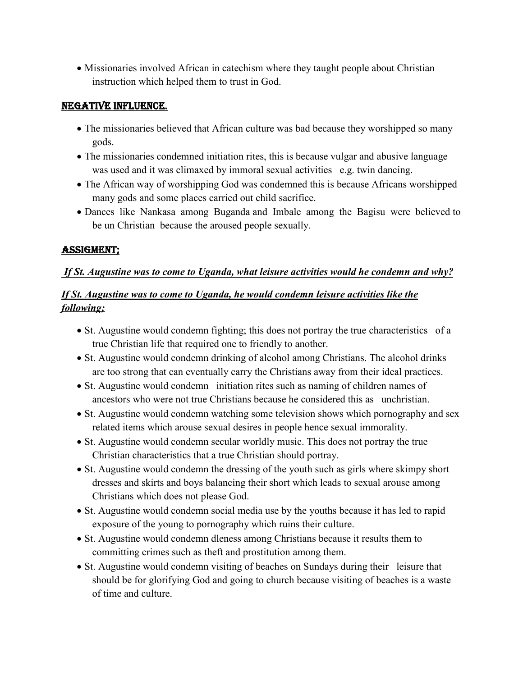Missionaries involved African in catechism where they taught people about Christian instruction which helped them to trust in God.

#### NEGATIVE INFLUENCE.

- The missionaries believed that African culture was bad because they worshipped so many gods.
- The missionaries condemned initiation rites, this is because vulgar and abusive language was used and it was climaxed by immoral sexual activities e.g. twin dancing.
- The African way of worshipping God was condemned this is because Africans worshipped many gods and some places carried out child sacrifice.
- Dances like Nankasa among Buganda and Imbale among the Bagisu were believed to be un Christian because the aroused people sexually.

### ASSIGMENT;

### *If St. Augustine was to come to Uganda, what leisure activities would he condemn and why?*

# *If St. Augustine was to come to Uganda, he would condemn leisure activities like the following;*

- St. Augustine would condemn fighting; this does not portray the true characteristics of a true Christian life that required one to friendly to another.
- St. Augustine would condemn drinking of alcohol among Christians. The alcohol drinks are too strong that can eventually carry the Christians away from their ideal practices.
- St. Augustine would condemn initiation rites such as naming of children names of ancestors who were not true Christians because he considered this as unchristian.
- St. Augustine would condemn watching some television shows which pornography and sex related items which arouse sexual desires in people hence sexual immorality.
- St. Augustine would condemn secular worldly music. This does not portray the true Christian characteristics that a true Christian should portray.
- St. Augustine would condemn the dressing of the youth such as girls where skimpy short dresses and skirts and boys balancing their short which leads to sexual arouse among Christians which does not please God.
- St. Augustine would condemn social media use by the youths because it has led to rapid exposure of the young to pornography which ruins their culture.
- St. Augustine would condemn dleness among Christians because it results them to committing crimes such as theft and prostitution among them.
- St. Augustine would condemn visiting of beaches on Sundays during their leisure that should be for glorifying God and going to church because visiting of beaches is a waste of time and culture.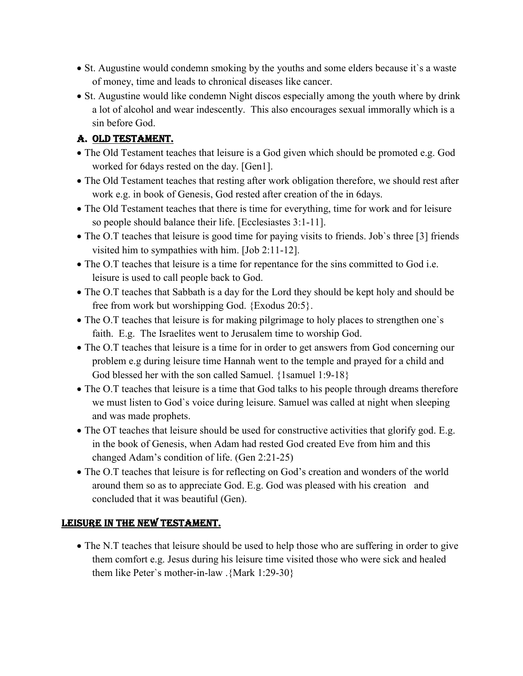- St. Augustine would condemn smoking by the youths and some elders because it's a waste of money, time and leads to chronical diseases like cancer.
- St. Augustine would like condemn Night discos especially among the youth where by drink a lot of alcohol and wear indescently. This also encourages sexual immorally which is a sin before God.

# A. OLD TESTAMENT.

- The Old Testament teaches that leisure is a God given which should be promoted e.g. God worked for 6days rested on the day. [Gen1].
- The Old Testament teaches that resting after work obligation therefore, we should rest after work e.g. in book of Genesis, God rested after creation of the in 6days.
- The Old Testament teaches that there is time for everything, time for work and for leisure so people should balance their life. [Ecclesiastes 3:1-11].
- The O.T teaches that leisure is good time for paying visits to friends. Job's three [3] friends visited him to sympathies with him. [Job 2:11-12].
- The O.T teaches that leisure is a time for repentance for the sins committed to God i.e. leisure is used to call people back to God.
- The O.T teaches that Sabbath is a day for the Lord they should be kept holy and should be free from work but worshipping God. {Exodus 20:5}.
- The O.T teaches that leisure is for making pilgrimage to holy places to strengthen one's faith. E.g. The Israelites went to Jerusalem time to worship God.
- The O.T teaches that leisure is a time for in order to get answers from God concerning our problem e.g during leisure time Hannah went to the temple and prayed for a child and God blessed her with the son called Samuel. {1samuel 1:9-18}
- The O.T teaches that leisure is a time that God talks to his people through dreams therefore we must listen to God`s voice during leisure. Samuel was called at night when sleeping and was made prophets.
- The OT teaches that leisure should be used for constructive activities that glorify god. E.g. in the book of Genesis, when Adam had rested God created Eve from him and this changed Adam's condition of life. (Gen 2:21-25)
- The O.T teaches that leisure is for reflecting on God's creation and wonders of the world around them so as to appreciate God. E.g. God was pleased with his creation and concluded that it was beautiful (Gen).

# LEISURE IN THE NEW TESTAMENT.

• The N.T teaches that leisure should be used to help those who are suffering in order to give them comfort e.g. Jesus during his leisure time visited those who were sick and healed them like Peter`s mother-in-law .{Mark 1:29-30}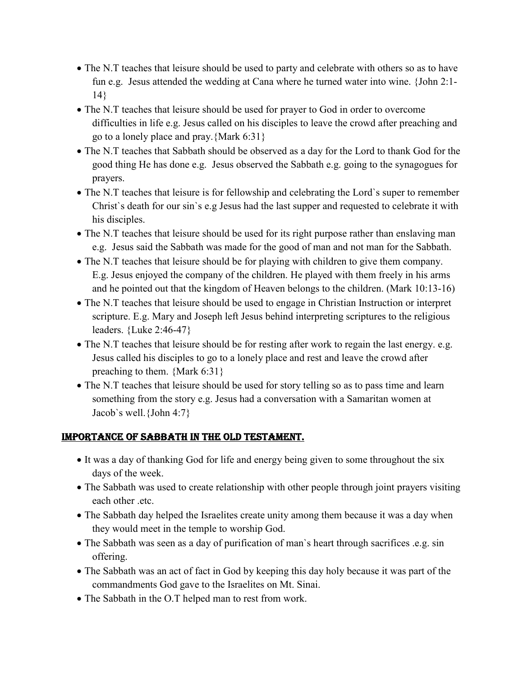- The N.T teaches that leisure should be used to party and celebrate with others so as to have fun e.g. Jesus attended the wedding at Cana where he turned water into wine. {John 2:1- 14}
- The N.T teaches that leisure should be used for prayer to God in order to overcome difficulties in life e.g. Jesus called on his disciples to leave the crowd after preaching and go to a lonely place and pray.{Mark 6:31}
- The N.T teaches that Sabbath should be observed as a day for the Lord to thank God for the good thing He has done e.g. Jesus observed the Sabbath e.g. going to the synagogues for prayers.
- The N.T teaches that leisure is for fellowship and celebrating the Lord's super to remember Christ`s death for our sin`s e.g Jesus had the last supper and requested to celebrate it with his disciples.
- The N.T teaches that leisure should be used for its right purpose rather than enslaving man e.g. Jesus said the Sabbath was made for the good of man and not man for the Sabbath.
- The N.T teaches that leisure should be for playing with children to give them company. E.g. Jesus enjoyed the company of the children. He played with them freely in his arms and he pointed out that the kingdom of Heaven belongs to the children. (Mark 10:13-16)
- The N.T teaches that leisure should be used to engage in Christian Instruction or interpret scripture. E.g. Mary and Joseph left Jesus behind interpreting scriptures to the religious leaders. {Luke 2:46-47}
- The N.T teaches that leisure should be for resting after work to regain the last energy. e.g. Jesus called his disciples to go to a lonely place and rest and leave the crowd after preaching to them. {Mark 6:31}
- The N.T teaches that leisure should be used for story telling so as to pass time and learn something from the story e.g. Jesus had a conversation with a Samaritan women at Jacob`s well.{John 4:7}

### IMPORTANCE OF SABBATH IN THE OLD TESTAMENT.

- It was a day of thanking God for life and energy being given to some throughout the six days of the week.
- The Sabbath was used to create relationship with other people through joint prayers visiting each other .etc.
- The Sabbath day helped the Israelites create unity among them because it was a day when they would meet in the temple to worship God.
- The Sabbath was seen as a day of purification of man`s heart through sacrifices .e.g. sin offering.
- The Sabbath was an act of fact in God by keeping this day holy because it was part of the commandments God gave to the Israelites on Mt. Sinai.
- The Sabbath in the O.T helped man to rest from work.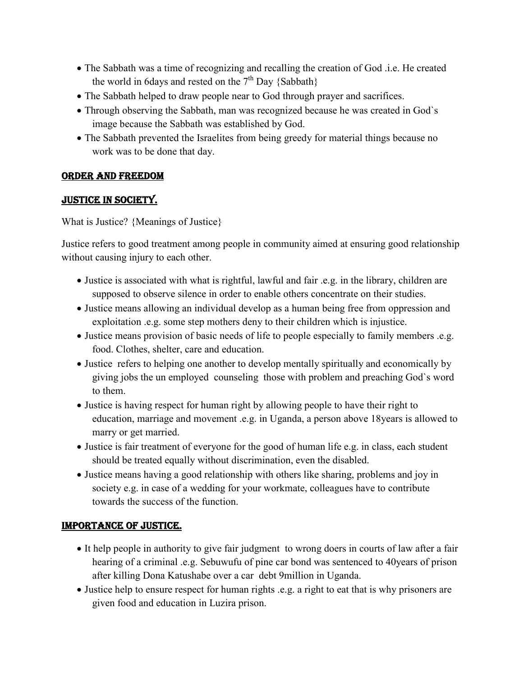- The Sabbath was a time of recognizing and recalling the creation of God .i.e. He created the world in 6days and rested on the  $7<sup>th</sup>$  Day {Sabbath}
- The Sabbath helped to draw people near to God through prayer and sacrifices.
- Through observing the Sabbath, man was recognized because he was created in God's image because the Sabbath was established by God.
- The Sabbath prevented the Israelites from being greedy for material things because no work was to be done that day.

### ORDER AND FREEDOM

# JUSTICE IN SOCIETY.

What is Justice? {Meanings of Justice}

Justice refers to good treatment among people in community aimed at ensuring good relationship without causing injury to each other.

- Justice is associated with what is rightful, lawful and fair .e.g. in the library, children are supposed to observe silence in order to enable others concentrate on their studies.
- Justice means allowing an individual develop as a human being free from oppression and exploitation .e.g. some step mothers deny to their children which is injustice.
- Justice means provision of basic needs of life to people especially to family members .e.g. food. Clothes, shelter, care and education.
- Justice refers to helping one another to develop mentally spiritually and economically by giving jobs the un employed counseling those with problem and preaching God`s word to them.
- Justice is having respect for human right by allowing people to have their right to education, marriage and movement .e.g. in Uganda, a person above 18years is allowed to marry or get married.
- Justice is fair treatment of everyone for the good of human life e.g. in class, each student should be treated equally without discrimination, even the disabled.
- Justice means having a good relationship with others like sharing, problems and joy in society e.g. in case of a wedding for your workmate, colleagues have to contribute towards the success of the function.

# IMPORTANCE OF JUSTICE.

- It help people in authority to give fair judgment to wrong doers in courts of law after a fair hearing of a criminal .e.g. Sebuwufu of pine car bond was sentenced to 40years of prison after killing Dona Katushabe over a car debt 9million in Uganda.
- Justice help to ensure respect for human rights .e.g. a right to eat that is why prisoners are given food and education in Luzira prison.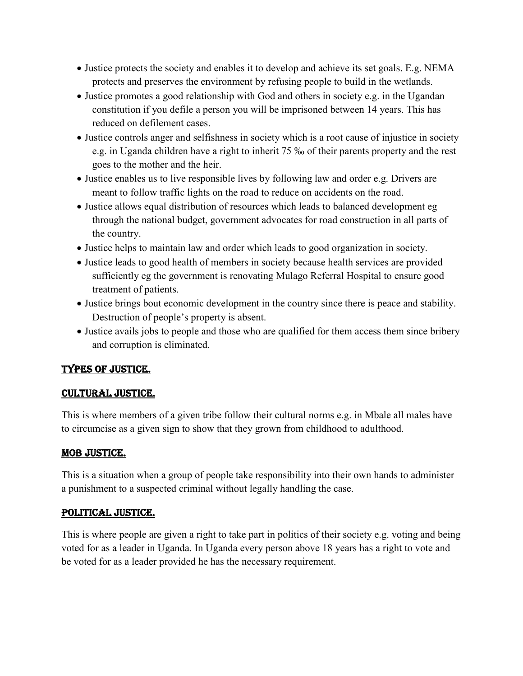- Justice protects the society and enables it to develop and achieve its set goals. E.g. NEMA protects and preserves the environment by refusing people to build in the wetlands.
- Justice promotes a good relationship with God and others in society e.g. in the Ugandan constitution if you defile a person you will be imprisoned between 14 years. This has reduced on defilement cases.
- Justice controls anger and selfishness in society which is a root cause of injustice in society e.g. in Uganda children have a right to inherit 75 ‰ of their parents property and the rest goes to the mother and the heir.
- Justice enables us to live responsible lives by following law and order e.g. Drivers are meant to follow traffic lights on the road to reduce on accidents on the road.
- Justice allows equal distribution of resources which leads to balanced development eg through the national budget, government advocates for road construction in all parts of the country.
- Justice helps to maintain law and order which leads to good organization in society.
- Justice leads to good health of members in society because health services are provided sufficiently eg the government is renovating Mulago Referral Hospital to ensure good treatment of patients.
- Justice brings bout economic development in the country since there is peace and stability. Destruction of people's property is absent.
- Justice avails jobs to people and those who are qualified for them access them since bribery and corruption is eliminated.

# TYPES OF JUSTICE.

# CULTURAL JUSTICE.

This is where members of a given tribe follow their cultural norms e.g. in Mbale all males have to circumcise as a given sign to show that they grown from childhood to adulthood.

### MOB JUSTICE.

This is a situation when a group of people take responsibility into their own hands to administer a punishment to a suspected criminal without legally handling the case.

### POLITICAL JUSTICE.

This is where people are given a right to take part in politics of their society e.g. voting and being voted for as a leader in Uganda. In Uganda every person above 18 years has a right to vote and be voted for as a leader provided he has the necessary requirement.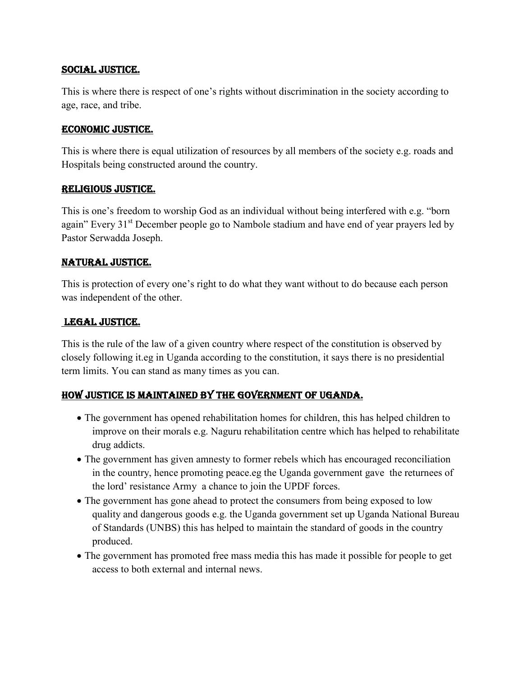#### SOCIAL JUSTICE.

This is where there is respect of one's rights without discrimination in the society according to age, race, and tribe.

#### ECONOMIC JUSTICE.

This is where there is equal utilization of resources by all members of the society e.g. roads and Hospitals being constructed around the country.

#### RELIGIOUS JUSTICE.

This is one's freedom to worship God as an individual without being interfered with e.g. "born again" Every 31<sup>st</sup> December people go to Nambole stadium and have end of year prayers led by Pastor Serwadda Joseph.

### NATURAL JUSTICE.

This is protection of every one's right to do what they want without to do because each person was independent of the other.

### LEGAL JUSTICE.

This is the rule of the law of a given country where respect of the constitution is observed by closely following it.eg in Uganda according to the constitution, it says there is no presidential term limits. You can stand as many times as you can.

### HOW JUSTICE IS MAINTAINED BY THE GOVERNMENT OF UGANDA.

- The government has opened rehabilitation homes for children, this has helped children to improve on their morals e.g. Naguru rehabilitation centre which has helped to rehabilitate drug addicts.
- The government has given amnesty to former rebels which has encouraged reconciliation in the country, hence promoting peace.eg the Uganda government gave the returnees of the lord' resistance Army a chance to join the UPDF forces.
- The government has gone ahead to protect the consumers from being exposed to low quality and dangerous goods e.g. the Uganda government set up Uganda National Bureau of Standards (UNBS) this has helped to maintain the standard of goods in the country produced.
- The government has promoted free mass media this has made it possible for people to get access to both external and internal news.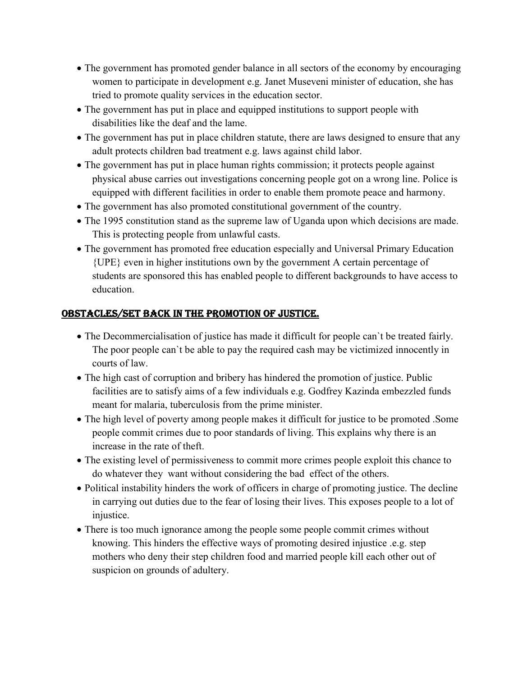- The government has promoted gender balance in all sectors of the economy by encouraging women to participate in development e.g. Janet Museveni minister of education, she has tried to promote quality services in the education sector.
- The government has put in place and equipped institutions to support people with disabilities like the deaf and the lame.
- The government has put in place children statute, there are laws designed to ensure that any adult protects children bad treatment e.g. laws against child labor.
- The government has put in place human rights commission; it protects people against physical abuse carries out investigations concerning people got on a wrong line. Police is equipped with different facilities in order to enable them promote peace and harmony.
- The government has also promoted constitutional government of the country.
- The 1995 constitution stand as the supreme law of Uganda upon which decisions are made. This is protecting people from unlawful casts.
- The government has promoted free education especially and Universal Primary Education {UPE} even in higher institutions own by the government A certain percentage of students are sponsored this has enabled people to different backgrounds to have access to education.

# OBSTACLES/SET BACK IN THE PROMOTION OF JUSTICE.

- The Decommercialisation of justice has made it difficult for people can`t be treated fairly. The poor people can`t be able to pay the required cash may be victimized innocently in courts of law.
- The high cast of corruption and bribery has hindered the promotion of justice. Public facilities are to satisfy aims of a few individuals e.g. Godfrey Kazinda embezzled funds meant for malaria, tuberculosis from the prime minister.
- The high level of poverty among people makes it difficult for justice to be promoted. Some people commit crimes due to poor standards of living. This explains why there is an increase in the rate of theft.
- The existing level of permissiveness to commit more crimes people exploit this chance to do whatever they want without considering the bad effect of the others.
- Political instability hinders the work of officers in charge of promoting justice. The decline in carrying out duties due to the fear of losing their lives. This exposes people to a lot of injustice.
- There is too much ignorance among the people some people commit crimes without knowing. This hinders the effective ways of promoting desired injustice .e.g. step mothers who deny their step children food and married people kill each other out of suspicion on grounds of adultery.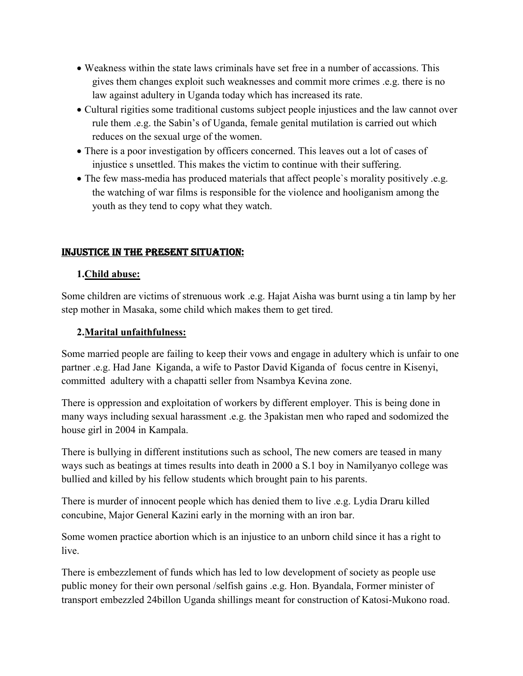- Weakness within the state laws criminals have set free in a number of accassions. This gives them changes exploit such weaknesses and commit more crimes .e.g. there is no law against adultery in Uganda today which has increased its rate.
- Cultural rigities some traditional customs subject people injustices and the law cannot over rule them .e.g. the Sabin's of Uganda, female genital mutilation is carried out which reduces on the sexual urge of the women.
- There is a poor investigation by officers concerned. This leaves out a lot of cases of injustice s unsettled. This makes the victim to continue with their suffering.
- The few mass-media has produced materials that affect people`s morality positively .e.g. the watching of war films is responsible for the violence and hooliganism among the youth as they tend to copy what they watch.

### INJUSTICE IN THE PRESENT SITUATION:

### **1.Child abuse:**

Some children are victims of strenuous work .e.g. Hajat Aisha was burnt using a tin lamp by her step mother in Masaka, some child which makes them to get tired.

### **2.Marital unfaithfulness:**

Some married people are failing to keep their vows and engage in adultery which is unfair to one partner .e.g. Had Jane Kiganda, a wife to Pastor David Kiganda of focus centre in Kisenyi, committed adultery with a chapatti seller from Nsambya Kevina zone.

There is oppression and exploitation of workers by different employer. This is being done in many ways including sexual harassment .e.g. the 3pakistan men who raped and sodomized the house girl in 2004 in Kampala.

There is bullying in different institutions such as school, The new comers are teased in many ways such as beatings at times results into death in 2000 a S.1 boy in Namilyanyo college was bullied and killed by his fellow students which brought pain to his parents.

There is murder of innocent people which has denied them to live .e.g. Lydia Draru killed concubine, Major General Kazini early in the morning with an iron bar.

Some women practice abortion which is an injustice to an unborn child since it has a right to live.

There is embezzlement of funds which has led to low development of society as people use public money for their own personal /selfish gains .e.g. Hon. Byandala, Former minister of transport embezzled 24billon Uganda shillings meant for construction of Katosi-Mukono road.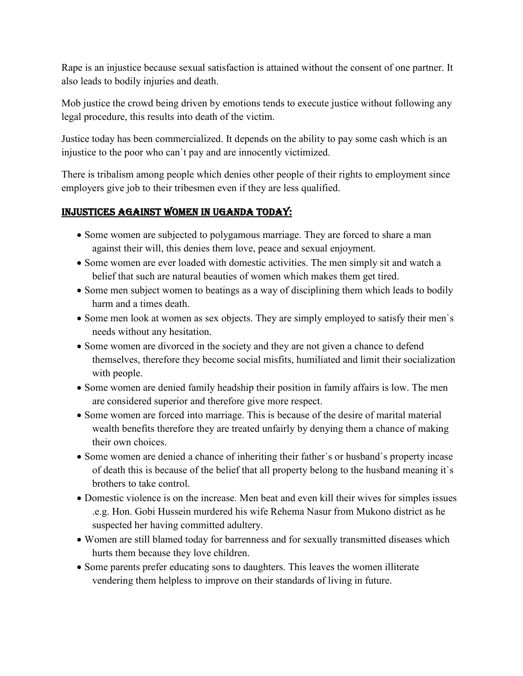Rape is an injustice because sexual satisfaction is attained without the consent of one partner. It also leads to bodily injuries and death.

Mob justice the crowd being driven by emotions tends to execute justice without following any legal procedure, this results into death of the victim.

Justice today has been commercialized. It depends on the ability to pay some cash which is an injustice to the poor who can`t pay and are innocently victimized.

There is tribalism among people which denies other people of their rights to employment since employers give job to their tribesmen even if they are less qualified.

### INJUSTICES AGAINST WOMEN IN UGANDA TODAY:

- Some women are subjected to polygamous marriage. They are forced to share a man against their will, this denies them love, peace and sexual enjoyment.
- Some women are ever loaded with domestic activities. The men simply sit and watch a belief that such are natural beauties of women which makes them get tired.
- Some men subject women to beatings as a way of disciplining them which leads to bodily harm and a times death.
- Some men look at women as sex objects. They are simply employed to satisfy their men's needs without any hesitation.
- Some women are divorced in the society and they are not given a chance to defend themselves, therefore they become social misfits, humiliated and limit their socialization with people.
- Some women are denied family headship their position in family affairs is low. The men are considered superior and therefore give more respect.
- Some women are forced into marriage. This is because of the desire of marital material wealth benefits therefore they are treated unfairly by denying them a chance of making their own choices.
- Some women are denied a chance of inheriting their father's or husband's property incase of death this is because of the belief that all property belong to the husband meaning it`s brothers to take control.
- Domestic violence is on the increase. Men beat and even kill their wives for simples issues .e.g. Hon. Gobi Hussein murdered his wife Rehema Nasur from Mukono district as he suspected her having committed adultery.
- Women are still blamed today for barrenness and for sexually transmitted diseases which hurts them because they love children.
- Some parents prefer educating sons to daughters. This leaves the women illiterate vendering them helpless to improve on their standards of living in future.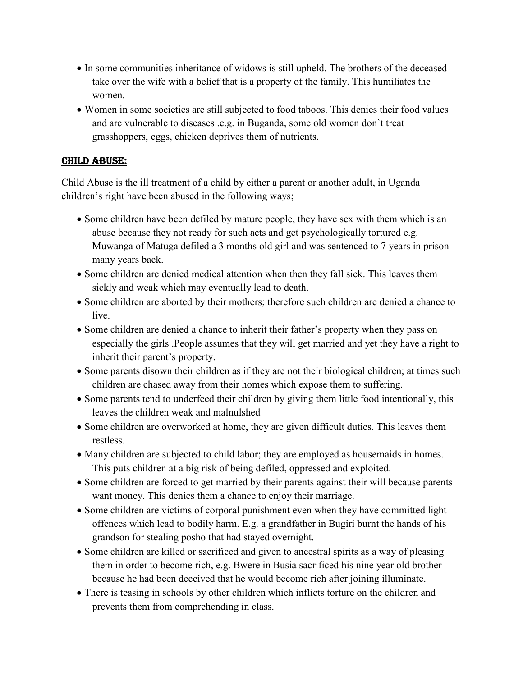- In some communities inheritance of widows is still upheld. The brothers of the deceased take over the wife with a belief that is a property of the family. This humiliates the women.
- Women in some societies are still subjected to food taboos. This denies their food values and are vulnerable to diseases .e.g. in Buganda, some old women don`t treat grasshoppers, eggs, chicken deprives them of nutrients.

### CHILD ABUSE:

Child Abuse is the ill treatment of a child by either a parent or another adult, in Uganda children's right have been abused in the following ways;

- Some children have been defiled by mature people, they have sex with them which is an abuse because they not ready for such acts and get psychologically tortured e.g. Muwanga of Matuga defiled a 3 months old girl and was sentenced to 7 years in prison many years back.
- Some children are denied medical attention when then they fall sick. This leaves them sickly and weak which may eventually lead to death.
- Some children are aborted by their mothers; therefore such children are denied a chance to live.
- Some children are denied a chance to inherit their father's property when they pass on especially the girls .People assumes that they will get married and yet they have a right to inherit their parent's property.
- Some parents disown their children as if they are not their biological children; at times such children are chased away from their homes which expose them to suffering.
- Some parents tend to underfeed their children by giving them little food intentionally, this leaves the children weak and malnulshed
- Some children are overworked at home, they are given difficult duties. This leaves them restless.
- Many children are subjected to child labor; they are employed as house maids in homes. This puts children at a big risk of being defiled, oppressed and exploited.
- Some children are forced to get married by their parents against their will because parents want money. This denies them a chance to enjoy their marriage.
- Some children are victims of corporal punishment even when they have committed light offences which lead to bodily harm. E.g. a grandfather in Bugiri burnt the hands of his grandson for stealing posho that had stayed overnight.
- Some children are killed or sacrificed and given to ancestral spirits as a way of pleasing them in order to become rich, e.g. Bwere in Busia sacrificed his nine year old brother because he had been deceived that he would become rich after joining illuminate.
- There is teasing in schools by other children which inflicts torture on the children and prevents them from comprehending in class.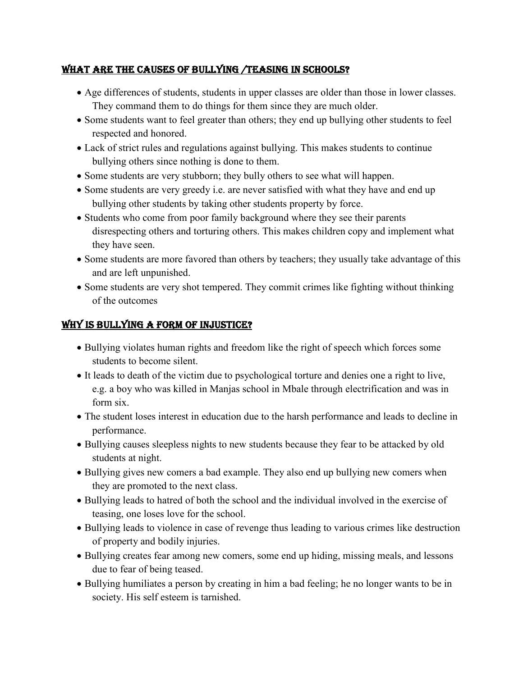### WHAT ARE THE CAUSES OF BULLYING /TEASING IN SCHOOLS?

- Age differences of students, students in upper classes are older than those in lower classes. They command them to do things for them since they are much older.
- Some students want to feel greater than others; they end up bullying other students to feel respected and honored.
- Lack of strict rules and regulations against bullying. This makes students to continue bullying others since nothing is done to them.
- Some students are very stubborn; they bully others to see what will happen.
- Some students are very greedy i.e. are never satisfied with what they have and end up bullying other students by taking other students property by force.
- Students who come from poor family background where they see their parents disrespecting others and torturing others. This makes children copy and implement what they have seen.
- Some students are more favored than others by teachers; they usually take advantage of this and are left unpunished.
- Some students are very shot tempered. They commit crimes like fighting without thinking of the outcomes

# WHY IS BULLYING A FORM OF INJUSTICE?

- Bullying violates human rights and freedom like the right of speech which forces some students to become silent.
- It leads to death of the victim due to psychological torture and denies one a right to live, e.g. a boy who was killed in Manjas school in Mbale through electrification and was in form six.
- The student loses interest in education due to the harsh performance and leads to decline in performance.
- Bullying causes sleepless nights to new students because they fear to be attacked by old students at night.
- Bullying gives new comers a bad example. They also end up bullying new comers when they are promoted to the next class.
- Bullying leads to hatred of both the school and the individual involved in the exercise of teasing, one loses love for the school.
- Bullying leads to violence in case of revenge thus leading to various crimes like destruction of property and bodily injuries.
- Bullying creates fear among new comers, some end up hiding, missing meals, and lessons due to fear of being teased.
- Bullying humiliates a person by creating in him a bad feeling; he no longer wants to be in society. His self esteem is tarnished.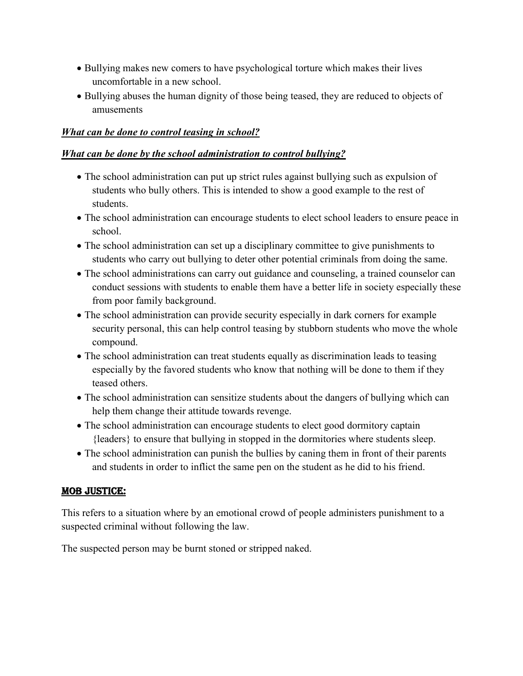- Bullying makes new comers to have psychological torture which makes their lives uncomfortable in a new school.
- Bullying abuses the human dignity of those being teased, they are reduced to objects of amusements

### *What can be done to control teasing in school?*

#### *What can be done by the school administration to control bullying?*

- The school administration can put up strict rules against bullying such as expulsion of students who bully others. This is intended to show a good example to the rest of students.
- The school administration can encourage students to elect school leaders to ensure peace in school.
- The school administration can set up a disciplinary committee to give punishments to students who carry out bullying to deter other potential criminals from doing the same.
- The school administrations can carry out guidance and counseling, a trained counselor can conduct sessions with students to enable them have a better life in society especially these from poor family background.
- The school administration can provide security especially in dark corners for example security personal, this can help control teasing by stubborn students who move the whole compound.
- The school administration can treat students equally as discrimination leads to teasing especially by the favored students who know that nothing will be done to them if they teased others.
- The school administration can sensitize students about the dangers of bullying which can help them change their attitude towards revenge.
- The school administration can encourage students to elect good dormitory captain {leaders} to ensure that bullying in stopped in the dormitories where students sleep.
- The school administration can punish the bullies by caning them in front of their parents and students in order to inflict the same pen on the student as he did to his friend.

### MOB JUSTICE:

This refers to a situation where by an emotional crowd of people administers punishment to a suspected criminal without following the law.

The suspected person may be burnt stoned or stripped naked.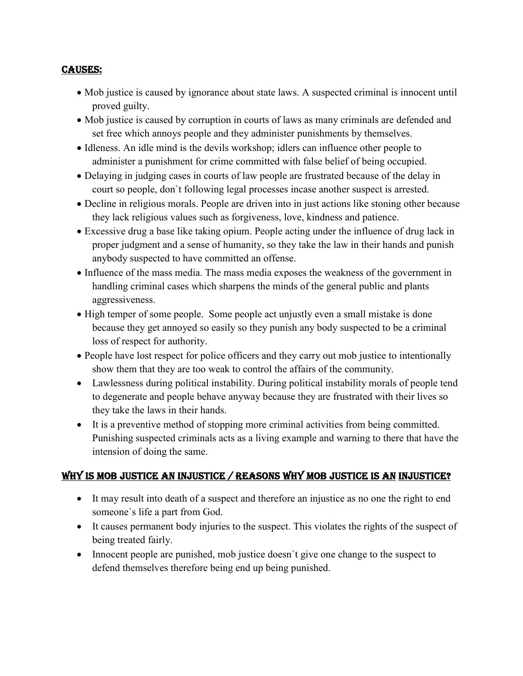#### CAUSES:

- Mob justice is caused by ignorance about state laws. A suspected criminal is innocent until proved guilty.
- Mob justice is caused by corruption in courts of laws as many criminals are defended and set free which annoys people and they administer punishments by themselves.
- Idleness. An idle mind is the devils workshop; idlers can influence other people to administer a punishment for crime committed with false belief of being occupied.
- Delaying in judging cases in courts of law people are frustrated because of the delay in court so people, don`t following legal processes incase another suspect is arrested.
- Decline in religious morals. People are driven into in just actions like stoning other because they lack religious values such as forgiveness, love, kindness and patience.
- Excessive drug a base like taking opium. People acting under the influence of drug lack in proper judgment and a sense of humanity, so they take the law in their hands and punish anybody suspected to have committed an offense.
- Influence of the mass media. The mass media exposes the weakness of the government in handling criminal cases which sharpens the minds of the general public and plants aggressiveness.
- High temper of some people. Some people act unjustly even a small mistake is done because they get annoyed so easily so they punish any body suspected to be a criminal loss of respect for authority.
- People have lost respect for police officers and they carry out mob justice to intentionally show them that they are too weak to control the affairs of the community.
- Lawlessness during political instability. During political instability morals of people tend to degenerate and people behave anyway because they are frustrated with their lives so they take the laws in their hands.
- It is a preventive method of stopping more criminal activities from being committed. Punishing suspected criminals acts as a living example and warning to there that have the intension of doing the same.

# WHY IS MOB JUSTICE AN INJUSTICE / REASONS WHY MOB JUSTICE IS AN INJUSTICE?

- It may result into death of a suspect and therefore an injustice as no one the right to end someone`s life a part from God.
- It causes permanent body injuries to the suspect. This violates the rights of the suspect of being treated fairly.
- Innocent people are punished, mob justice doesn't give one change to the suspect to defend themselves therefore being end up being punished.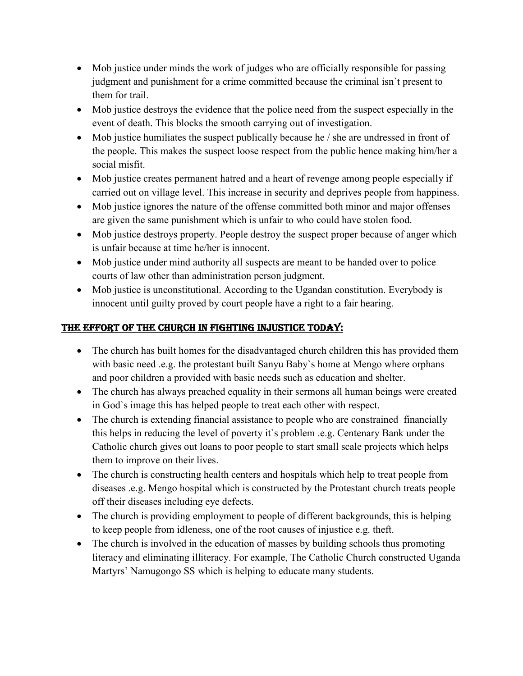- Mob justice under minds the work of judges who are officially responsible for passing judgment and punishment for a crime committed because the criminal isn`t present to them for trail.
- Mob justice destroys the evidence that the police need from the suspect especially in the event of death. This blocks the smooth carrying out of investigation.
- Mob justice humiliates the suspect publically because he / she are undressed in front of the people. This makes the suspect loose respect from the public hence making him/her a social misfit.
- Mob justice creates permanent hatred and a heart of revenge among people especially if carried out on village level. This increase in security and deprives people from happiness.
- Mob justice ignores the nature of the offense committed both minor and major offenses are given the same punishment which is unfair to who could have stolen food.
- Mob justice destroys property. People destroy the suspect proper because of anger which is unfair because at time he/her is innocent.
- Mob justice under mind authority all suspects are meant to be handed over to police courts of law other than administration person judgment.
- Mob justice is unconstitutional. According to the Ugandan constitution. Everybody is innocent until guilty proved by court people have a right to a fair hearing.

# THE EFFORT OF THE CHURCH IN FIGHTING INJUSTICE TODAY:

- The church has built homes for the disadvantaged church children this has provided them with basic need .e.g. the protestant built Sanyu Baby's home at Mengo where orphans and poor children a provided with basic needs such as education and shelter.
- The church has always preached equality in their sermons all human beings were created in God`s image this has helped people to treat each other with respect.
- The church is extending financial assistance to people who are constrained financially this helps in reducing the level of poverty it`s problem .e.g. Centenary Bank under the Catholic church gives out loans to poor people to start small scale projects which helps them to improve on their lives.
- The church is constructing health centers and hospitals which help to treat people from diseases .e.g. Mengo hospital which is constructed by the Protestant church treats people off their diseases including eye defects.
- The church is providing employment to people of different backgrounds, this is helping to keep people from idleness, one of the root causes of injustice e.g. theft.
- The church is involved in the education of masses by building schools thus promoting literacy and eliminating illiteracy. For example, The Catholic Church constructed Uganda Martyrs' Namugongo SS which is helping to educate many students.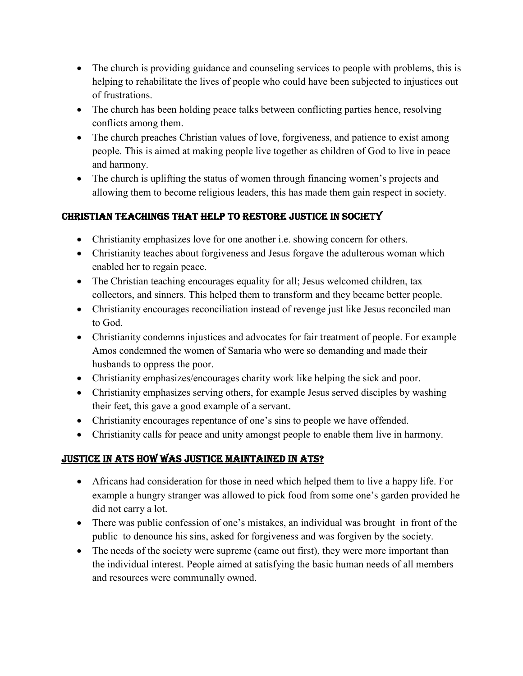- The church is providing guidance and counseling services to people with problems, this is helping to rehabilitate the lives of people who could have been subjected to injustices out of frustrations.
- The church has been holding peace talks between conflicting parties hence, resolving conflicts among them.
- The church preaches Christian values of love, forgiveness, and patience to exist among people. This is aimed at making people live together as children of God to live in peace and harmony.
- The church is uplifting the status of women through financing women's projects and allowing them to become religious leaders, this has made them gain respect in society.

# CHRISTIAN TEACHINGS THAT HELP TO RESTORE JUSTICE IN SOCIETY

- Christianity emphasizes love for one another i.e. showing concern for others.
- Christianity teaches about forgiveness and Jesus forgave the adulterous woman which enabled her to regain peace.
- The Christian teaching encourages equality for all; Jesus welcomed children, tax collectors, and sinners. This helped them to transform and they became better people.
- Christianity encourages reconciliation instead of revenge just like Jesus reconciled man to God.
- Christianity condemns injustices and advocates for fair treatment of people. For example Amos condemned the women of Samaria who were so demanding and made their husbands to oppress the poor.
- Christianity emphasizes/encourages charity work like helping the sick and poor.
- Christianity emphasizes serving others, for example Jesus served disciples by washing their feet, this gave a good example of a servant.
- Christianity encourages repentance of one's sins to people we have offended.
- Christianity calls for peace and unity amongst people to enable them live in harmony.

# JUSTICE IN ATS HOW WAS JUSTICE MAINTAINED IN ATS?

- Africans had consideration for those in need which helped them to live a happy life. For example a hungry stranger was allowed to pick food from some one's garden provided he did not carry a lot.
- There was public confession of one's mistakes, an individual was brought in front of the public to denounce his sins, asked for forgiveness and was forgiven by the society.
- The needs of the society were supreme (came out first), they were more important than the individual interest. People aimed at satisfying the basic human needs of all members and resources were communally owned.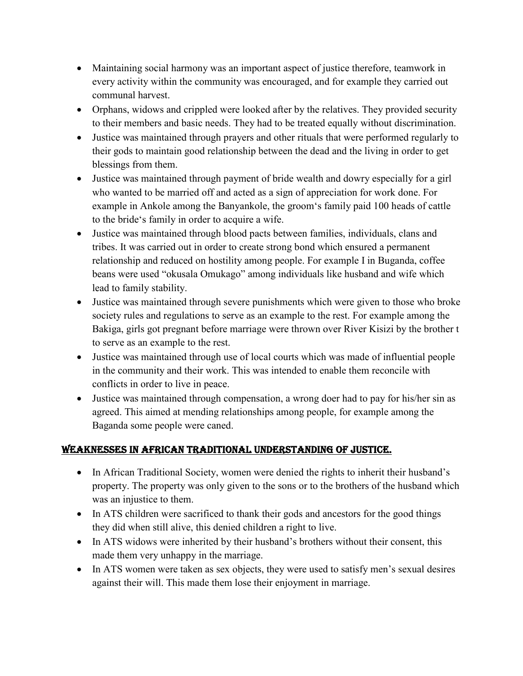- Maintaining social harmony was an important aspect of justice therefore, teamwork in every activity within the community was encouraged, and for example they carried out communal harvest.
- Orphans, widows and crippled were looked after by the relatives. They provided security to their members and basic needs. They had to be treated equally without discrimination.
- Justice was maintained through prayers and other rituals that were performed regularly to their gods to maintain good relationship between the dead and the living in order to get blessings from them.
- Justice was maintained through payment of bride wealth and dowry especially for a girl who wanted to be married off and acted as a sign of appreciation for work done. For example in Ankole among the Banyankole, the groom's family paid 100 heads of cattle to the bride's family in order to acquire a wife.
- Justice was maintained through blood pacts between families, individuals, clans and tribes. It was carried out in order to create strong bond which ensured a permanent relationship and reduced on hostility among people. For example I in Buganda, coffee beans were used "okusala Omukago" among individuals like husband and wife which lead to family stability.
- Justice was maintained through severe punishments which were given to those who broke society rules and regulations to serve as an example to the rest. For example among the Bakiga, girls got pregnant before marriage were thrown over River Kisizi by the brother t to serve as an example to the rest.
- Justice was maintained through use of local courts which was made of influential people in the community and their work. This was intended to enable them reconcile with conflicts in order to live in peace.
- Justice was maintained through compensation, a wrong doer had to pay for his/her sin as agreed. This aimed at mending relationships among people, for example among the Baganda some people were caned.

# WEAKNESSES IN AFRICAN TRADITIONAL UNDERSTANDING OF JUSTICE.

- In African Traditional Society, women were denied the rights to inherit their husband's property. The property was only given to the sons or to the brothers of the husband which was an injustice to them.
- In ATS children were sacrificed to thank their gods and ancestors for the good things they did when still alive, this denied children a right to live.
- In ATS widows were inherited by their husband's brothers without their consent, this made them very unhappy in the marriage.
- In ATS women were taken as sex objects, they were used to satisfy men's sexual desires against their will. This made them lose their enjoyment in marriage.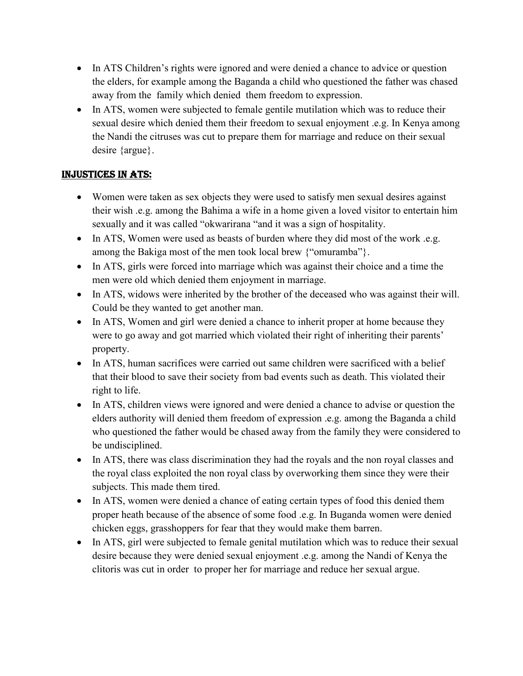- In ATS Children's rights were ignored and were denied a chance to advice or question the elders, for example among the Baganda a child who questioned the father was chased away from the family which denied them freedom to expression.
- In ATS, women were subjected to female gentile mutilation which was to reduce their sexual desire which denied them their freedom to sexual enjoyment .e.g. In Kenya among the Nandi the citruses was cut to prepare them for marriage and reduce on their sexual desire {argue}.

# INJUSTICES IN ATS:

- Women were taken as sex objects they were used to satisfy men sexual desires against their wish .e.g. among the Bahima a wife in a home given a loved visitor to entertain him sexually and it was called "okwarirana "and it was a sign of hospitality.
- In ATS, Women were used as beasts of burden where they did most of the work .e.g. among the Bakiga most of the men took local brew {"omuramba"}.
- In ATS, girls were forced into marriage which was against their choice and a time the men were old which denied them enjoyment in marriage.
- In ATS, widows were inherited by the brother of the deceased who was against their will. Could be they wanted to get another man.
- In ATS, Women and girl were denied a chance to inherit proper at home because they were to go away and got married which violated their right of inheriting their parents' property.
- In ATS, human sacrifices were carried out same children were sacrificed with a belief that their blood to save their society from bad events such as death. This violated their right to life.
- In ATS, children views were ignored and were denied a chance to advise or question the elders authority will denied them freedom of expression .e.g. among the Baganda a child who questioned the father would be chased away from the family they were considered to be undisciplined.
- In ATS, there was class discrimination they had the royals and the non royal classes and the royal class exploited the non royal class by overworking them since they were their subjects. This made them tired.
- In ATS, women were denied a chance of eating certain types of food this denied them proper heath because of the absence of some food .e.g. In Buganda women were denied chicken eggs, grasshoppers for fear that they would make them barren.
- In ATS, girl were subjected to female genital mutilation which was to reduce their sexual desire because they were denied sexual enjoyment .e.g. among the Nandi of Kenya the clitoris was cut in order to proper her for marriage and reduce her sexual argue.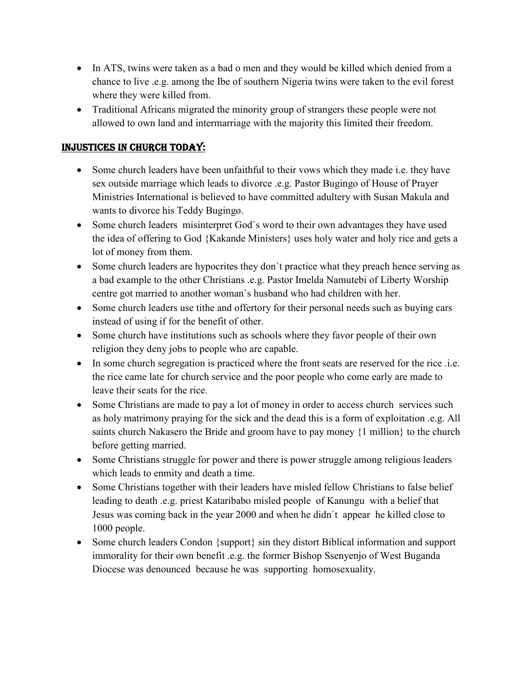- In ATS, twins were taken as a bad o men and they would be killed which denied from a chance to live .e.g. among the Ibe of southern Nigeria twins were taken to the evil forest where they were killed from.
- Traditional Africans migrated the minority group of strangers these people were not allowed to own land and intermarriage with the majority this limited their freedom.

### INJUSTICES IN CHURCH TODAY:

- Some church leaders have been unfaithful to their vows which they made i.e. they have sex outside marriage which leads to divorce .e.g. Pastor Bugingo of House of Prayer Ministries International is believed to have committed adultery with Susan Makula and wants to divorce his Teddy Bugingo.
- Some church leaders misinterpret God's word to their own advantages they have used the idea of offering to God {Kakande Ministers} uses holy water and holy rice and gets a lot of money from them.
- Some church leaders are hypocrites they don't practice what they preach hence serving as a bad example to the other Christians .e.g. Pastor Imelda Namutebi of Liberty Worship centre got married to another woman`s husband who had children with her.
- Some church leaders use tithe and offertory for their personal needs such as buying cars instead of using if for the benefit of other.
- Some church have institutions such as schools where they favor people of their own religion they deny jobs to people who are capable.
- In some church segregation is practiced where the front seats are reserved for the rice .i.e. the rice came late for church service and the poor people who come early are made to leave their seats for the rice.
- Some Christians are made to pay a lot of money in order to access church services such as holy matrimony praying for the sick and the dead this is a form of exploitation .e.g. All saints church Nakasero the Bride and groom have to pay money {1 million} to the church before getting married.
- Some Christians struggle for power and there is power struggle among religious leaders which leads to enmity and death a time.
- Some Christians together with their leaders have misled fellow Christians to false belief leading to death .e.g. priest Kataribabo misled people of Kanungu with a belief that Jesus was coming back in the year 2000 and when he didn`t appear he killed close to 1000 people.
- Some church leaders Condon {support} sin they distort Biblical information and support immorality for their own benefit .e.g. the former Bishop Ssenyenjo of West Buganda Diocese was denounced because he was supporting homosexuality.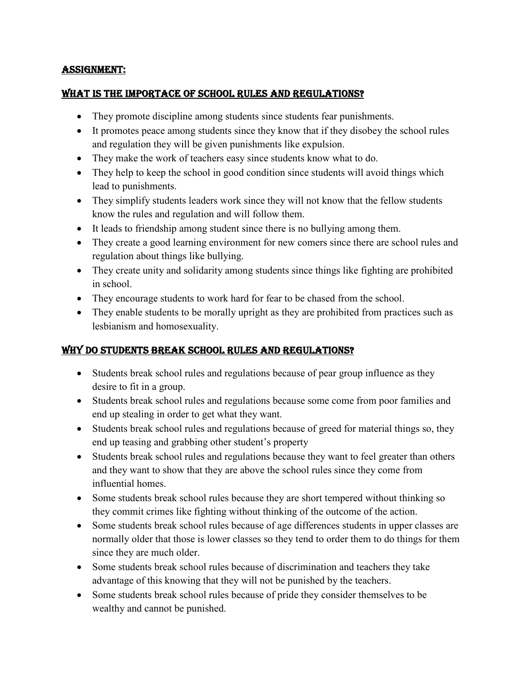#### ASSIGNMENT:

#### WHAT IS THE IMPORTACE OF SCHOOL RULES AND REGULATIONS?

- They promote discipline among students since students fear punishments.
- It promotes peace among students since they know that if they disobey the school rules and regulation they will be given punishments like expulsion.
- They make the work of teachers easy since students know what to do.
- They help to keep the school in good condition since students will avoid things which lead to punishments.
- They simplify students leaders work since they will not know that the fellow students know the rules and regulation and will follow them.
- It leads to friendship among student since there is no bullying among them.
- They create a good learning environment for new comers since there are school rules and regulation about things like bullying.
- They create unity and solidarity among students since things like fighting are prohibited in school.
- They encourage students to work hard for fear to be chased from the school.
- They enable students to be morally upright as they are prohibited from practices such as lesbianism and homosexuality.

# WHY DO STUDENTS BREAK SCHOOL RULES AND REGULATIONS?

- Students break school rules and regulations because of pear group influence as they desire to fit in a group.
- Students break school rules and regulations because some come from poor families and end up stealing in order to get what they want.
- Students break school rules and regulations because of greed for material things so, they end up teasing and grabbing other student's property
- Students break school rules and regulations because they want to feel greater than others and they want to show that they are above the school rules since they come from influential homes.
- Some students break school rules because they are short tempered without thinking so they commit crimes like fighting without thinking of the outcome of the action.
- Some students break school rules because of age differences students in upper classes are normally older that those is lower classes so they tend to order them to do things for them since they are much older.
- Some students break school rules because of discrimination and teachers they take advantage of this knowing that they will not be punished by the teachers.
- Some students break school rules because of pride they consider themselves to be wealthy and cannot be punished.